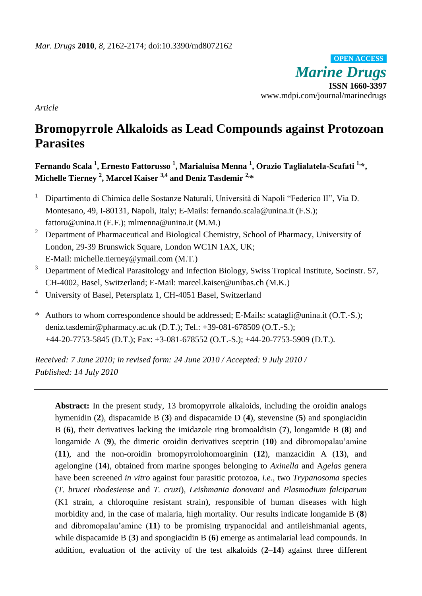*Marine Drugs* **ISSN 1660-3397** www.mdpi.com/journal/marinedrugs **OPEN ACCESS**

*Article*

# **Bromopyrrole Alkaloids as Lead Compounds against Protozoan Parasites**

**Fernando Scala <sup>1</sup> , Ernesto Fattorusso <sup>1</sup> , Marialuisa Menna <sup>1</sup> , Orazio Taglialatela-Scafati 1,\*, Michelle Tierney <sup>2</sup> , Marcel Kaiser 3,4 and Deniz Tasdemir 2,\***

- <sup>1</sup> Dipartimento di Chimica delle Sostanze Naturali, Università di Napoli "Federico II", Via D. Montesano, 49, I-80131, Napoli, Italy; E-Mails: [fernando.scala@unina.it](mailto:fernando.scala@unina.it) (F.S.); [fattoru@unina.it](mailto:fattoru@unina.it) (E.F.); [mlmenna@unina.it](mailto:mlmenna@unina.it) (M.M.)
- <sup>2</sup> Department of Pharmaceutical and Biological Chemistry, School of Pharmacy, University of London, 29-39 Brunswick Square, London WC1N 1AX, UK; E-Mail: [michelle.tierney@ymail.com](https://red002.mail.emea.microsoftonline.com/owa/redir.aspx?C=bb1b0b22bb8a40b48ea13b6baf18824b&URL=mailto%3amichelle.tierney%40ymail.com) (M.T.)
- <sup>3</sup> Department of Medical Parasitology and Infection Biology, Swiss Tropical Institute, Socinstr. 57, CH-4002, Basel, Switzerland; E-Mail: marcel.kaiser@unibas.ch (M.K.)
- <sup>4</sup> University of Basel, Petersplatz 1, CH-4051 Basel, Switzerland
- \* Authors to whom correspondence should be addressed; E-Mails: scatagli@unina.it (O.T.-S.); deniz.tasdemir@pharmacy.ac.uk (D.T.); Tel.: +39-081-678509 (O.T.-S.); +44-20-7753-5845 (D.T.); Fax: +3-081-678552 (O.T.-S.); +44-20-7753-5909 (D.T.).

*Received: 7 June 2010; in revised form: 24 June 2010 / Accepted: 9 July 2010 / Published: 14 July 2010*

**Abstract:** In the present study, 13 bromopyrrole alkaloids, including the oroidin analogs hymenidin (**2**), dispacamide B (**3**) and dispacamide D (**4**), stevensine (**5**) and spongiacidin B (**6**), their derivatives lacking the imidazole ring bromoaldisin (**7**), longamide B (**8**) and longamide A (**9**), the dimeric oroidin derivatives sceptrin (**10**) and dibromopalau'amine (**11**), and the non-oroidin bromopyrrolohomoarginin (**12**), manzacidin A (**13**), and agelongine (**14**), obtained from marine sponges belonging to *Axinella* and A*gelas* genera have been screened *in vitro* against four parasitic protozoa, *i.e.*, two *Trypanosoma* species (*T. brucei rhodesiense* and *T. cruzi*), *Leishmania donovani* and *Plasmodium falciparum* (K1 strain, a chloroquine resistant strain), responsible of human diseases with high morbidity and, in the case of malaria, high mortality. Our results indicate longamide B (**8**) and dibromopalau'amine (**11**) to be promising trypanocidal and antileishmanial agents, while dispacamide B (**3**) and spongiacidin B (**6**) emerge as antimalarial lead compounds. In addition, evaluation of the activity of the test alkaloids (**2**–**14**) against three different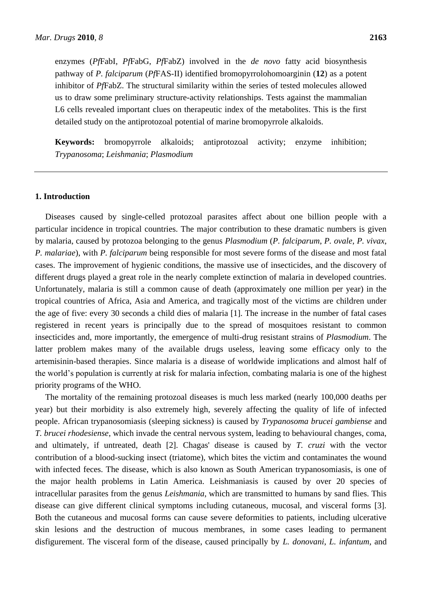enzymes (*Pf*FabI, *Pf*FabG, *Pf*FabZ) involved in the *de novo* fatty acid biosynthesis pathway of *P. falciparum* (*Pf*FAS-II) identified bromopyrrolohomoarginin (**12**) as a potent inhibitor of *Pf*FabZ. The structural similarity within the series of tested molecules allowed us to draw some preliminary structure-activity relationships. Tests against the mammalian L6 cells revealed important clues on therapeutic index of the metabolites. This is the first detailed study on the antiprotozoal potential of marine bromopyrrole alkaloids.

**Keywords:** bromopyrrole alkaloids; antiprotozoal activity; enzyme inhibition; *Trypanosoma*; *Leishmania*; *Plasmodium*

## **1. Introduction**

Diseases caused by single-celled protozoal parasites affect about one billion people with a particular incidence in tropical countries. The major contribution to these dramatic numbers is given by malaria, caused by protozoa belonging to the genus *Plasmodium* (*P. falciparum*, *P. ovale*, *P. vivax*, *P. malariae*), with *P. falciparum* being responsible for most severe forms of the disease and most fatal cases. The improvement of hygienic conditions, the massive use of insecticides, and the discovery of different drugs played a great role in the nearly complete extinction of malaria in developed countries. Unfortunately, malaria is still a common cause of death (approximately one million per year) in the tropical countries of Africa, Asia and America, and tragically most of the victims are children under the age of five: every 30 seconds a child dies of malaria [1]. The increase in the number of fatal cases registered in recent years is principally due to the spread of mosquitoes resistant to common insecticides and, more importantly, the emergence of multi-drug resistant strains of *Plasmodium*. The latter problem makes many of the available drugs useless, leaving some efficacy only to the artemisinin-based therapies. Since malaria is a disease of worldwide implications and almost half of the world's population is currently at risk for malaria infection, combating malaria is one of the highest priority programs of the WHO.

The mortality of the remaining protozoal diseases is much less marked (nearly 100,000 deaths per year) but their morbidity is also extremely high, severely affecting the quality of life of infected people. African trypanosomiasis (sleeping sickness) is caused by *Trypanosoma brucei gambiense* and *T. brucei rhodesiense*, which invade the central nervous system, leading to behavioural changes, coma, and ultimately, if untreated, death [2]. Chagas' disease is caused by *T. cruzi* with the vector contribution of a blood-sucking insect (triatome), which bites the victim and contaminates the wound with infected feces. The disease, which is also known as South American trypanosomiasis, is one of the major health problems in Latin America. Leishmaniasis is caused by over 20 species of intracellular parasites from the genus *Leishmania*, which are transmitted to humans by sand flies. This disease can give different clinical symptoms including cutaneous, mucosal, and visceral forms [3]. Both the cutaneous and mucosal forms can cause severe deformities to patients, including ulcerative skin lesions and the destruction of mucous membranes, in some cases leading to permanent disfigurement. The visceral form of the disease, caused principally by *L. donovani*, *L. infantum*, and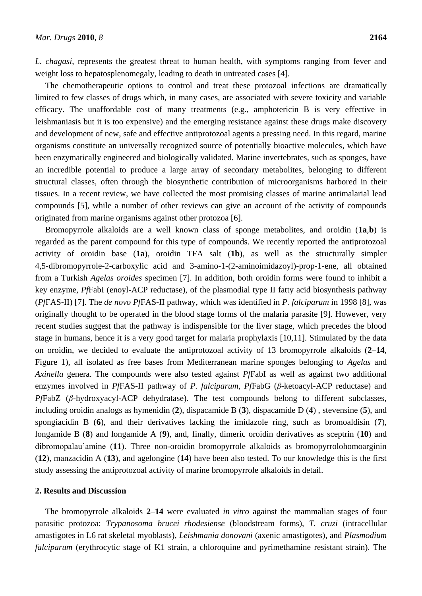*L. chagasi*, represents the greatest threat to human health, with symptoms ranging from fever and weight loss to hepatosplenomegaly, leading to death in untreated cases [4].

The chemotherapeutic options to control and treat these protozoal infections are dramatically limited to few classes of drugs which, in many cases, are associated with severe toxicity and variable efficacy. The unaffordable cost of many treatments (e.g., amphotericin B is very effective in leishmaniasis but it is too expensive) and the emerging resistance against these drugs make discovery and development of new, safe and effective antiprotozoal agents a pressing need. In this regard, marine organisms constitute an universally recognized source of potentially bioactive molecules, which have been enzymatically engineered and biologically validated. Marine invertebrates, such as sponges, have an incredible potential to produce a large array of secondary metabolites, belonging to different structural classes, often through the biosynthetic contribution of microorganisms harbored in their tissues. In a recent review, we have collected the most promising classes of marine antimalarial lead compounds [5], while a number of other reviews can give an account of the activity of compounds originated from marine organisms against other protozoa [6].

Bromopyrrole alkaloids are a well known class of sponge metabolites, and oroidin (**1a**,**b**) is regarded as the parent compound for this type of compounds. We recently reported the antiprotozoal activity of oroidin base (**1a**), oroidin TFA salt (**1b**), as well as the structurally simpler 4,5-dibromopyrrole-2-carboxylic acid and 3-amino-1-(2-aminoimidazoyl)-prop-1-ene, all obtained from a Turkish *Agelas oroides* specimen [7]. In addition, both oroidin forms were found to inhibit a key enzyme, *Pf*FabI (enoyl-ACP reductase), of the plasmodial type II fatty acid biosynthesis pathway (*Pf*FAS-II) [7]. The *de novo Pf*FAS-II pathway, which was identified in *P. falciparum* in 1998 [8], was originally thought to be operated in the blood stage forms of the malaria parasite [9]. However, very recent studies suggest that the pathway is indispensible for the liver stage, which precedes the blood stage in humans, hence it is a very good target for malaria prophylaxis [10,11]. Stimulated by the data on oroidin, we decided to evaluate the antiprotozoal activity of 13 bromopyrrole alkaloids (**2**–**14**, Figure 1), all isolated as free bases from Mediterranean marine sponges belonging to *Agelas* and *Axinella* genera. The compounds were also tested against *Pf*FabI as well as against two additional enzymes involved in *Pf*FAS-II pathway of *P. falciparum*, *Pf*FabG (*β*-ketoacyl-ACP reductase) and *Pf*FabZ (*β*-hydroxyacyl-ACP dehydratase). The test compounds belong to different subclasses, including oroidin analogs as hymenidin (**2**), dispacamide B (**3**), dispacamide D (**4**) , stevensine (**5**), and spongiacidin B (**6**), and their derivatives lacking the imidazole ring, such as bromoaldisin (**7**), longamide B (**8**) and longamide A (**9**), and, finally, dimeric oroidin derivatives as sceptrin (**10**) and dibromopalau'amine (**11**). Three non-oroidin bromopyrrole alkaloids as bromopyrrolohomoarginin (**12**), manzacidin A (**13**), and agelongine (**14**) have been also tested. To our knowledge this is the first study assessing the antiprotozoal activity of marine bromopyrrole alkaloids in detail.

## **2. Results and Discussion**

The bromopyrrole alkaloids **2**–**14** were evaluated *in vitro* against the mammalian stages of four parasitic protozoa: *Trypanosoma brucei rhodesiense* (bloodstream forms), *T. cruzi* (intracellular amastigotes in L6 rat skeletal myoblasts), *Leishmania donovani* (axenic amastigotes), and *Plasmodium falciparum* (erythrocytic stage of K1 strain, a chloroquine and pyrimethamine resistant strain). The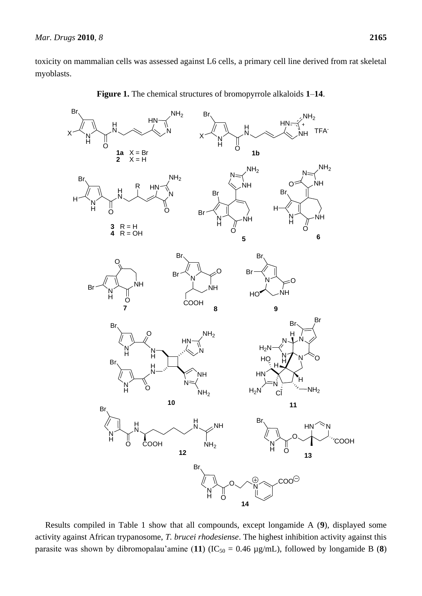toxicity on mammalian cells was assessed against L6 cells, a primary cell line derived from rat skeletal myoblasts.



**Figure 1.** The chemical structures of bromopyrrole alkaloids **1**–**14**.

Results compiled in Table 1 show that all compounds, except longamide A (**9**), displayed some activity against African trypanosome, *T. brucei rhodesiense*. The highest inhibition activity against this parasite was shown by dibromopalau'amine (11) ( $IC_{50} = 0.46 \mu g/mL$ ), followed by longamide B (8)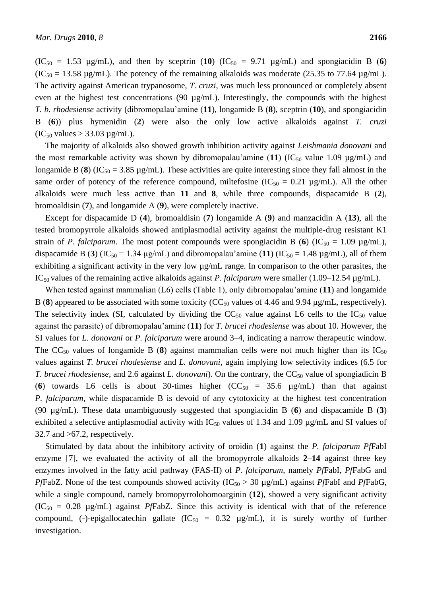$(IC_{50} = 1.53 \text{ µg/mL})$ , and then by sceptrin  $(10) (IC_{50} = 9.71 \text{ µg/mL})$  and spongiacidin B  $(6)$  $(IC<sub>50</sub> = 13.58 \text{ µg/mL})$ . The potency of the remaining alkaloids was moderate (25.35 to 77.64  $\mu$ g/mL). The activity against American trypanosome, *T. cruzi*, was much less pronounced or completely absent even at the highest test concentrations (90  $\mu$ g/mL). Interestingly, the compounds with the highest *T. b. rhodesiense* activity (dibromopalau'amine (**11**), longamide B (**8**), sceptrin (**10**), and spongiacidin B (**6**)) plus hymenidin (**2**) were also the only low active alkaloids against *T. cruzi*  $(IC_{50}$  values > 33.03  $\mu$ g/mL).

The majority of alkaloids also showed growth inhibition activity against *Leishmania donovani* and the most remarkable activity was shown by dibromopalau'amine  $(11)$   $(IC_{50}$  value 1.09  $\mu$ g/mL) and longamide B (8) ( $IC_{50} = 3.85 \text{ µg/mL}$ ). These activities are quite interesting since they fall almost in the same order of potency of the reference compound, miltefosine  $(IC_{50} = 0.21 \mu g/mL)$ . All the other alkaloids were much less active than **11** and **8**, while three compounds, dispacamide B (**2**), bromoaldisin (**7**), and longamide A (**9**), were completely inactive.

Except for dispacamide D (**4**), bromoaldisin (**7**) longamide A (**9**) and manzacidin A (**13**), all the tested bromopyrrole alkaloids showed antiplasmodial activity against the multiple-drug resistant K1 strain of *P. falciparum*. The most potent compounds were spongiacidin B (6) (IC<sub>50</sub> = 1.09 µg/mL), dispacamide B (3) (IC<sub>50</sub> = 1.34 µg/mL) and dibromopalau'amine (11) (IC<sub>50</sub> = 1.48 µg/mL), all of them exhibiting a significant activity in the very low µg/mL range. In comparison to the other parasites, the IC50 values of the remaining active alkaloids against *P. falciparum* were smaller (1.09–12.54 µg/mL).

When tested against mammalian (L6) cells (Table 1), only dibromopalau'amine (**11**) and longamide B (8) appeared to be associated with some toxicity ( $CC_{50}$  values of 4.46 and 9.94  $\mu$ g/mL, respectively). The selectivity index (SI, calculated by dividing the  $CC_{50}$  value against L6 cells to the  $IC_{50}$  value against the parasite) of dibromopalau'amine (**11**) for *T. brucei rhodesiense* was about 10. However, the SI values for *L. donovani* or *P. falciparum* were around 3–4, indicating a narrow therapeutic window. The  $CC_{50}$  values of longamide B (8) against mammalian cells were not much higher than its  $IC_{50}$ values against *T. brucei rhodesiense* and *L. donovani*, again implying low selectivity indices (6.5 for *T. brucei rhodesiense*, and 2.6 against *L. donovani*). On the contrary, the CC<sub>50</sub> value of spongiadicin B (**6**) towards L6 cells is about 30-times higher  $(CC_{50} = 35.6 \mu g/mL)$  than that against *P. falciparum*, while dispacamide B is devoid of any cytotoxicity at the highest test concentration (90 µg/mL). These data unambiguously suggested that spongiacidin B (**6**) and dispacamide B (**3**) exhibited a selective antiplasmodial activity with  $IC_{50}$  values of 1.34 and 1.09 µg/mL and SI values of  $32.7$  and  $>67.2$ , respectively.

Stimulated by data about the inhibitory activity of oroidin (**1**) against the *P. falciparum Pf*FabI enzyme [7], we evaluated the activity of all the bromopyrrole alkaloids **2**–**14** against three key enzymes involved in the fatty acid pathway (FAS-II) of *P. falciparum*, namely *Pf*FabI, *Pf*FabG and *PfFabZ*. None of the test compounds showed activity ( $IC_{50} > 30 \mu g/mL$ ) against *PfFabI* and *PfFabG*, while a single compound, namely bromopyrrolohomoarginin (**12**), showed a very significant activity  $(IC_{50} = 0.28 \text{ µg/mL})$  against *PfFabZ*. Since this activity is identical with that of the reference compound, (-)-epigallocatechin gallate ( $IC_{50} = 0.32$  µg/mL), it is surely worthy of further investigation.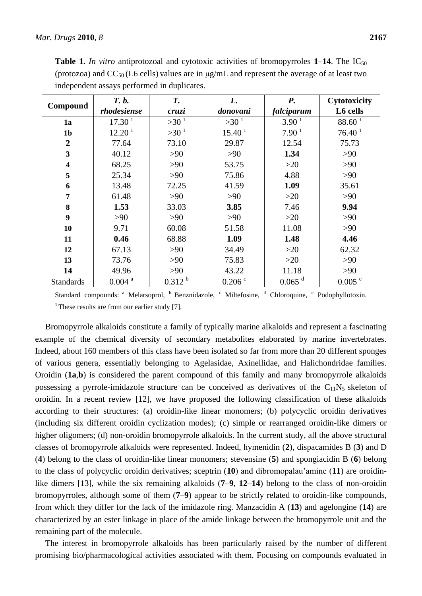| Compound                | T. b.              | T.          | L.                 | <b>P.</b>            | Cytotoxicity         |
|-------------------------|--------------------|-------------|--------------------|----------------------|----------------------|
|                         | rhodesiense        | cruzi       | donovani           | falciparum           | L6 cells             |
| 1a                      | 17.30 <sup>1</sup> | $>30^{1}$   | $>30^{1}$          | 3.90 <sup>1</sup>    | 88.60 <sup>1</sup>   |
| 1 <sub>b</sub>          | 12.20 <sup>1</sup> | $>30^{1}$   | 15.40 <sup>1</sup> | 7.90 <sup>1</sup>    | 76.40 <sup>1</sup>   |
| $\boldsymbol{2}$        | 77.64              | 73.10       | 29.87              | 12.54                | 75.73                |
| 3                       | 40.12              | >90         | >90                | 1.34                 | >90                  |
| $\overline{\mathbf{4}}$ | 68.25              | >90         | 53.75              | $>20$                | >90                  |
| 5                       | 25.34              | >90         | 75.86              | 4.88                 | >90                  |
| 6                       | 13.48              | 72.25       | 41.59              | 1.09                 | 35.61                |
| 7                       | 61.48              | >90         | >90                | >20                  | >90                  |
| 8                       | 1.53               | 33.03       | 3.85               | 7.46                 | 9.94                 |
| 9                       | >90                | >90         | >90                | $>20$                | >90                  |
| 10                      | 9.71               | 60.08       | 51.58              | 11.08                | >90                  |
| 11                      | 0.46               | 68.88       | 1.09               | 1.48                 | 4.46                 |
| 12                      | 67.13              | >90         | 34.49              | $>20$                | 62.32                |
| 13                      | 73.76              | >90         | 75.83              | >20                  | >90                  |
| 14                      | 49.96              | $>90$       | 43.22              | 11.18                | >90                  |
| <b>Standards</b>        | $0.004$ $^{\rm a}$ | $0.312^{b}$ | $0.206$ $\degree$  | $0.065$ <sup>d</sup> | $0.005$ <sup>e</sup> |

**Table 1.** In vitro antiprotozoal and cytotoxic activities of bromopyrroles  $1-14$ . The IC<sub>50</sub> (protozoa) and  $CC_{50}$  (L6 cells) values are in  $\mu$ g/mL and represent the average of at least two independent assays performed in duplicates.

Standard compounds: <sup>a</sup> Melarsoprol, <sup>b</sup> Benznidazole, <sup>c</sup> Miltefosine, <sup>d</sup> Chloroquine, <sup>e</sup> Podophyllotoxin. <sup>1</sup> These results are from our earlier study [7].

Bromopyrrole alkaloids constitute a family of typically marine alkaloids and represent a fascinating example of the chemical diversity of secondary metabolites elaborated by marine invertebrates. Indeed, about 160 members of this class have been isolated so far from more than 20 different sponges of various genera, essentially belonging to Agelasidae, Axinellidae, and Halichondridae families. Oroidin (**1a**,**b**) is considered the parent compound of this family and many bromopyrrole alkaloids possessing a pyrrole-imidazole structure can be conceived as derivatives of the  $C_{11}N_5$  skeleton of oroidin. In a recent review [12], we have proposed the following classification of these alkaloids according to their structures: (a) oroidin-like linear monomers; (b) polycyclic oroidin derivatives (including six different oroidin cyclization modes); (c) simple or rearranged oroidin-like dimers or higher oligomers; (d) non-oroidin bromopyrrole alkaloids. In the current study, all the above structural classes of bromopyrrole alkaloids were represented. Indeed, hymenidin (**2**), dispacamides B (**3**) and D (**4**) belong to the class of oroidin-like linear monomers; stevensine (**5**) and spongiacidin B (**6**) belong to the class of polycyclic oroidin derivatives; sceptrin (**10**) and dibromopalau'amine (**11**) are oroidinlike dimers [13], while the six remaining alkaloids (**7**–**9**, **12**–**14**) belong to the class of non-oroidin bromopyrroles, although some of them (**7**–**9**) appear to be strictly related to oroidin-like compounds, from which they differ for the lack of the imidazole ring. Manzacidin A (**13**) and agelongine (**14**) are characterized by an ester linkage in place of the amide linkage between the bromopyrrole unit and the remaining part of the molecule.

The interest in bromopyrrole alkaloids has been particularly raised by the number of different promising bio/pharmacological activities associated with them. Focusing on compounds evaluated in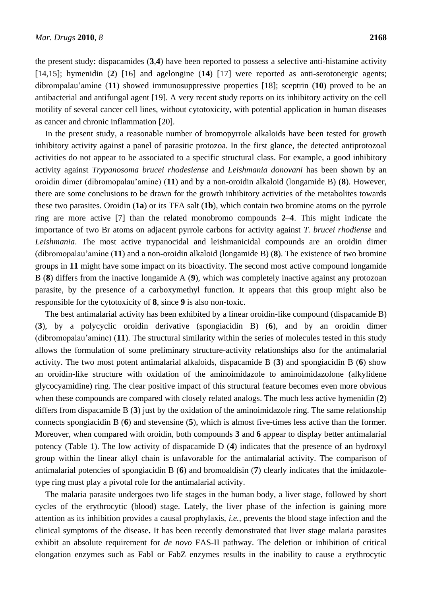the present study: dispacamides (**3**,**4**) have been reported to possess a selective anti-histamine activity [14,15]; hymenidin (**2**) [16] and agelongine (**14**) [17] were reported as anti-serotonergic agents; dibrompalau'amine (**11**) showed immunosuppressive properties [18]; sceptrin (**10**) proved to be an antibacterial and antifungal agent [19]. A very recent study reports on its inhibitory activity on the cell motility of several cancer cell lines, without cytotoxicity, with potential application in human diseases as cancer and chronic inflammation [20].

In the present study, a reasonable number of bromopyrrole alkaloids have been tested for growth inhibitory activity against a panel of parasitic protozoa. In the first glance, the detected antiprotozoal activities do not appear to be associated to a specific structural class. For example, a good inhibitory activity against *Trypanosoma brucei rhodesiense* and *Leishmania donovani* has been shown by an oroidin dimer (dibromopalau'amine) (**11**) and by a non-oroidin alkaloid (longamide B) (**8**). However, there are some conclusions to be drawn for the growth inhibitory activities of the metabolites towards these two parasites. Oroidin (**1a**) or its TFA salt (**1b**), which contain two bromine atoms on the pyrrole ring are more active [7] than the related monobromo compounds **2**–**4**. This might indicate the importance of two Br atoms on adjacent pyrrole carbons for activity against *T. brucei rhodiense* and *Leishmania*. The most active trypanocidal and leishmanicidal compounds are an oroidin dimer (dibromopalau'amine (**11**) and a non-oroidin alkaloid (longamide B) (**8**). The existence of two bromine groups in **11** might have some impact on its bioactivity. The second most active compound longamide B (**8**) differs from the inactive longamide A (**9**), which was completely inactive against any protozoan parasite, by the presence of a carboxymethyl function. It appears that this group might also be responsible for the cytotoxicity of **8**, since **9** is also non-toxic.

The best antimalarial activity has been exhibited by a linear oroidin-like compound (dispacamide B) (**3**), by a polycyclic oroidin derivative (spongiacidin B) (**6**), and by an oroidin dimer (dibromopalau'amine) (**11**). The structural similarity within the series of molecules tested in this study allows the formulation of some preliminary structure-activity relationships also for the antimalarial activity. The two most potent antimalarial alkaloids, dispacamide B (**3**) and spongiacidin B (**6**) show an oroidin-like structure with oxidation of the aminoimidazole to aminoimidazolone (alkylidene glycocyamidine) ring. The clear positive impact of this structural feature becomes even more obvious when these compounds are compared with closely related analogs. The much less active hymenidin (**2**) differs from dispacamide B (**3**) just by the oxidation of the aminoimidazole ring. The same relationship connects spongiacidin B (**6**) and stevensine (**5**), which is almost five-times less active than the former. Moreover, when compared with oroidin, both compounds **3** and **6** appear to display better antimalarial potency (Table 1). The low activity of dispacamide D (**4**) indicates that the presence of an hydroxyl group within the linear alkyl chain is unfavorable for the antimalarial activity. The comparison of antimalarial potencies of spongiacidin B (**6**) and bromoaldisin (**7**) clearly indicates that the imidazoletype ring must play a pivotal role for the antimalarial activity.

The malaria parasite undergoes two life stages in the human body, a liver stage, followed by short cycles of the erythrocytic (blood) stage. Lately, the liver phase of the infection is gaining more attention as its inhibition provides a causal prophylaxis, *i.e.*, prevents the blood stage infection and the clinical symptoms of the disease**.** It has been recently demonstrated that liver stage malaria parasites exhibit an absolute requirement for *de novo* FAS-II pathway. The deletion or inhibition of critical elongation enzymes such as FabI or FabZ enzymes results in the inability to cause a erythrocytic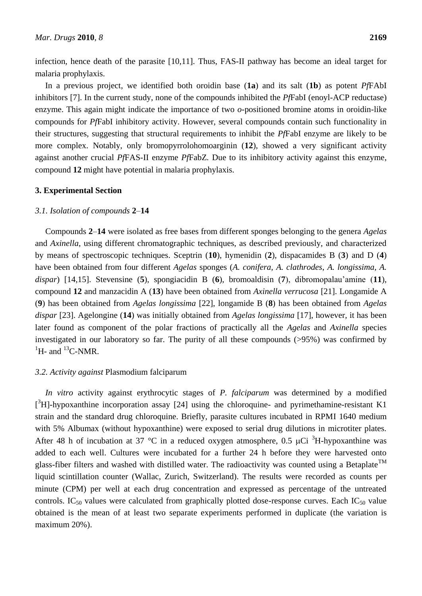infection, hence death of the parasite [10,11]. Thus, FAS-II pathway has become an ideal target for malaria prophylaxis.

In a previous project, we identified both oroidin base (**1a**) and its salt (**1b**) as potent *Pf*FAbI inhibitors [7]. In the current study, none of the compounds inhibited the *Pf*FabI (enoyl-ACP reductase) enzyme. This again might indicate the importance of two *o*-positioned bromine atoms in oroidin-like compounds for *Pf*FabI inhibitory activity. However, several compounds contain such functionality in their structures, suggesting that structural requirements to inhibit the *Pf*FabI enzyme are likely to be more complex. Notably, only bromopyrrolohomoarginin (**12**), showed a very significant activity against another crucial *Pf*FAS-II enzyme *Pf*FabZ*.* Due to its inhibitory activity against this enzyme, compound **12** might have potential in malaria prophylaxis.

# **3. Experimental Section**

# *3.1. Isolation of compounds* **2**–**14**

Compounds **2**–**14** were isolated as free bases from different sponges belonging to the genera *Agelas* and *Axinella*, using different chromatographic techniques, as described previously, and characterized by means of spectroscopic techniques. Sceptrin (**10**), hymenidin (**2**), dispacamides B (**3**) and D (**4**) have been obtained from four different *Agelas* sponges (*A. conifera*, *A. clathrodes*, *A. longissima*, *A. dispar*) [14,15]. Stevensine (**5**), spongiacidin B (**6**), bromoaldisin (**7**), dibromopalau'amine (**11**), compound **12** and manzacidin A (**13**) have been obtained from *Axinella verrucosa* [21]. Longamide A (**9**) has been obtained from *Agelas longissima* [22], longamide B (**8**) has been obtained from *Agelas dispar* [23]. Agelongine (**14**) was initially obtained from *Agelas longissima* [17], however, it has been later found as component of the polar fractions of practically all the *Agelas* and *Axinella* species investigated in our laboratory so far. The purity of all these compounds (>95%) was confirmed by  ${}^{1}$ H- and  ${}^{13}$ C-NMR.

## *3.2. Activity against* Plasmodium falciparum

*In vitro* activity against erythrocytic stages of *P. falciparum* was determined by a modified  $[^3H]$ -hypoxanthine incorporation assay [24] using the chloroquine- and pyrimethamine-resistant K1 strain and the standard drug chloroquine. Briefly, parasite cultures incubated in RPMI 1640 medium with 5% Albumax (without hypoxanthine) were exposed to serial drug dilutions in microtiter plates. After 48 h of incubation at 37 °C in a reduced oxygen atmosphere, 0.5  $\mu$ Ci <sup>3</sup>H-hypoxanthine was added to each well. Cultures were incubated for a further 24 h before they were harvested onto glass-fiber filters and washed with distilled water. The radioactivity was counted using a Betaplate<sup>TM</sup> liquid scintillation counter (Wallac, Zurich, Switzerland). The results were recorded as counts per minute (CPM) per well at each drug concentration and expressed as percentage of the untreated controls.  $IC_{50}$  values were calculated from graphically plotted dose-response curves. Each  $IC_{50}$  value obtained is the mean of at least two separate experiments performed in duplicate (the variation is maximum 20%).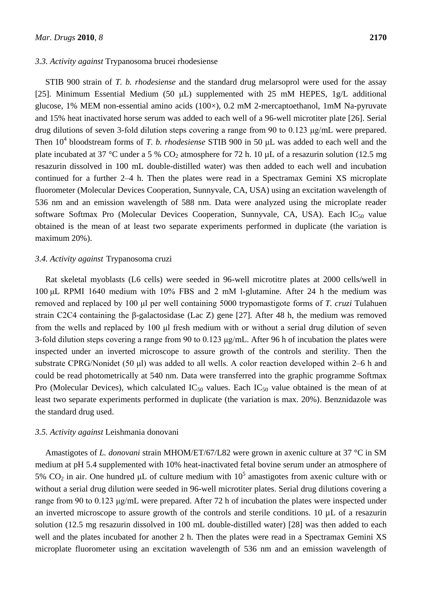#### *3.3. Activity against* Trypanosoma brucei rhodesiense

STIB 900 strain of *T. b. rhodesiense* and the standard drug melarsoprol were used for the assay [25]. Minimum Essential Medium (50 μL) supplemented with 25 mM HEPES, 1g/L additional glucose, 1% MEM non-essential amino acids  $(100\times)$ , 0.2 mM 2-mercaptoethanol, 1mM Na-pyruvate and 15% heat inactivated horse serum was added to each well of a 96-well microtiter plate [26]. Serial drug dilutions of seven 3-fold dilution steps covering a range from 90 to 0.123 μg/mL were prepared. Then 10<sup>4</sup> bloodstream forms of *T. b. rhodesiense* STIB 900 in 50 μL was added to each well and the plate incubated at 37 °C under a 5 %  $CO<sub>2</sub>$  atmosphere for 72 h. 10 µL of a resazurin solution (12.5 mg) resazurin dissolved in 100 mL double-distilled water) was then added to each well and incubation continued for a further 2–4 h. Then the plates were read in a Spectramax Gemini XS microplate fluorometer (Molecular Devices Cooperation, Sunnyvale, CA, USA) using an excitation wavelength of 536 nm and an emission wavelength of 588 nm. Data were analyzed using the microplate reader software Softmax Pro (Molecular Devices Cooperation, Sunnyvale, CA, USA). Each  $IC_{50}$  value obtained is the mean of at least two separate experiments performed in duplicate (the variation is maximum 20%).

## *3.4. Activity against* Trypanosoma cruzi

Rat skeletal myoblasts (L6 cells) were seeded in 96-well microtitre plates at 2000 cells/well in 100 μL RPMI 1640 medium with 10% FBS and 2 mM l-glutamine. After 24 h the medium was removed and replaced by 100 μl per well containing 5000 trypomastigote forms of *T. cruzi* Tulahuen strain C2C4 containing the β-galactosidase (Lac Z) gene [27]. After 48 h, the medium was removed from the wells and replaced by 100 μl fresh medium with or without a serial drug dilution of seven 3-fold dilution steps covering a range from 90 to 0.123 μg/mL. After 96 h of incubation the plates were inspected under an inverted microscope to assure growth of the controls and sterility. Then the substrate CPRG/Nonidet (50 μl) was added to all wells. A color reaction developed within 2–6 h and could be read photometrically at 540 nm. Data were transferred into the graphic programme Softmax Pro (Molecular Devices), which calculated  $IC_{50}$  values. Each  $IC_{50}$  value obtained is the mean of at least two separate experiments performed in duplicate (the variation is max. 20%). Benznidazole was the standard drug used.

## *3.5. Activity against* Leishmania donovani

Amastigotes of *L. donovani* strain MHOM/ET/67/L82 were grown in axenic culture at 37 °C in SM medium at pH 5.4 supplemented with 10% heat-inactivated fetal bovine serum under an atmosphere of 5% CO<sub>2</sub> in air. One hundred μL of culture medium with  $10<sup>5</sup>$  amastigotes from axenic culture with or without a serial drug dilution were seeded in 96-well microtiter plates. Serial drug dilutions covering a range from 90 to 0.123 μg/mL were prepared. After 72 h of incubation the plates were inspected under an inverted microscope to assure growth of the controls and sterile conditions. 10 µL of a resazurin solution (12.5 mg resazurin dissolved in 100 mL double-distilled water) [28] was then added to each well and the plates incubated for another 2 h. Then the plates were read in a Spectramax Gemini XS microplate fluorometer using an excitation wavelength of 536 nm and an emission wavelength of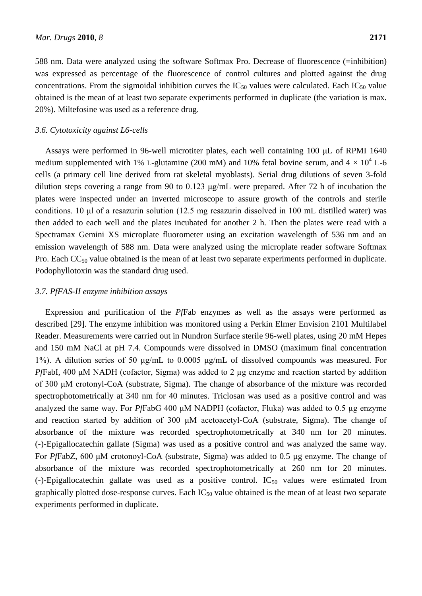588 nm. Data were analyzed using the software Softmax Pro. Decrease of fluorescence (=inhibition) was expressed as percentage of the fluorescence of control cultures and plotted against the drug concentrations. From the sigmoidal inhibition curves the  $IC_{50}$  values were calculated. Each  $IC_{50}$  value obtained is the mean of at least two separate experiments performed in duplicate (the variation is max. 20%). Miltefosine was used as a reference drug.

## *3.6. Cytotoxicity against L6-cells*

Assays were performed in 96-well microtiter plates, each well containing 100 μL of RPMI 1640 medium supplemented with 1% L-glutamine (200 mM) and 10% fetal bovine serum, and  $4 \times 10^4$  L-6 cells (a primary cell line derived from rat skeletal myoblasts). Serial drug dilutions of seven 3-fold dilution steps covering a range from 90 to 0.123 μg/mL were prepared. After 72 h of incubation the plates were inspected under an inverted microscope to assure growth of the controls and sterile conditions. 10 μl of a resazurin solution (12.5 mg resazurin dissolved in 100 mL distilled water) was then added to each well and the plates incubated for another 2 h. Then the plates were read with a Spectramax Gemini XS microplate fluorometer using an excitation wavelength of 536 nm and an emission wavelength of 588 nm. Data were analyzed using the microplate reader software Softmax Pro. Each  $CC_{50}$  value obtained is the mean of at least two separate experiments performed in duplicate. Podophyllotoxin was the standard drug used.

#### *3.7. PfFAS-II enzyme inhibition assays*

Expression and purification of the *Pf*Fab enzymes as well as the assays were performed as described [29]. The enzyme inhibition was monitored using a Perkin Elmer Envision 2101 Multilabel Reader. Measurements were carried out in Nundron Surface sterile 96-well plates, using 20 mM Hepes and 150 mM NaCl at pH 7.4. Compounds were dissolved in DMSO (maximum final concentration 1%). A dilution series of 50 μg/mL to 0.0005 μg/mL of dissolved compounds was measured. For *PfFabI*, 400 μM NADH (cofactor, Sigma) was added to 2 μg enzyme and reaction started by addition of 300 μM crotonyl-CoA (substrate, Sigma). The change of absorbance of the mixture was recorded spectrophotometrically at 340 nm for 40 minutes. Triclosan was used as a positive control and was analyzed the same way. For *Pf*FabG 400 μM NADPH (cofactor, Fluka) was added to 0.5 µg enzyme and reaction started by addition of 300 μM acetoacetyl-CoA (substrate, Sigma). The change of absorbance of the mixture was recorded spectrophotometrically at 340 nm for 20 minutes. (-)-Epigallocatechin gallate (Sigma) was used as a positive control and was analyzed the same way. For *Pf*FabZ, 600 μM crotonoyl-CoA (substrate, Sigma) was added to 0.5 µg enzyme. The change of absorbance of the mixture was recorded spectrophotometrically at 260 nm for 20 minutes.  $(-)$ -Epigallocatechin gallate was used as a positive control. IC<sub>50</sub> values were estimated from graphically plotted dose-response curves. Each  $IC_{50}$  value obtained is the mean of at least two separate experiments performed in duplicate.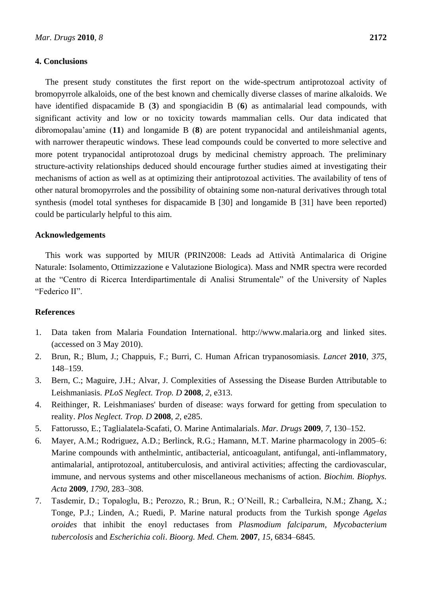## **4. Conclusions**

The present study constitutes the first report on the wide-spectrum antiprotozoal activity of bromopyrrole alkaloids, one of the best known and chemically diverse classes of marine alkaloids. We have identified dispacamide B (**3**) and spongiacidin B (**6**) as antimalarial lead compounds, with significant activity and low or no toxicity towards mammalian cells. Our data indicated that dibromopalau'amine (**11**) and longamide B (**8**) are potent trypanocidal and antileishmanial agents, with narrower therapeutic windows. These lead compounds could be converted to more selective and more potent trypanocidal antiprotozoal drugs by medicinal chemistry approach. The preliminary structure-activity relationships deduced should encourage further studies aimed at investigating their mechanisms of action as well as at optimizing their antiprotozoal activities. The availability of tens of other natural bromopyrroles and the possibility of obtaining some non-natural derivatives through total synthesis (model total syntheses for dispacamide B [30] and longamide B [31] have been reported) could be particularly helpful to this aim.

## **Acknowledgements**

This work was supported by MIUR (PRIN2008: Leads ad Attività Antimalarica di Origine Naturale: Isolamento, Ottimizzazione e Valutazione Biologica). Mass and NMR spectra were recorded at the "Centro di Ricerca Interdipartimentale di Analisi Strumentale" of the University of Naples "Federico II".

## **References**

- 1. Data taken from Malaria Foundation International. http://www.malaria.org and linked sites. (accessed on 3 May 2010).
- 2. Brun, R.; Blum, J.; Chappuis, F.; Burri, C. Human African trypanosomiasis. *Lancet* **2010**, *375*, 148–159.
- 3. Bern, C.; Maguire, J.H.; Alvar, J. Complexities of Assessing the Disease Burden Attributable to Leishmaniasis. *PLoS Neglect. Trop. D* **2008**, *2*, e313.
- 4. Reithinger, R. Leishmaniases' burden of disease: ways forward for getting from speculation to reality. *Plos Neglect. Trop. D* **2008**, *2*, e285.
- 5. Fattorusso, E.; Taglialatela-Scafati, O. Marine Antimalarials. *Mar. Drugs* **2009**, *7*, 130–152.
- 6. Mayer, A.M.; Rodriguez, A.D.; Berlinck, R.G.; Hamann, M.T. Marine pharmacology in 2005–6: Marine compounds with anthelmintic, antibacterial, anticoagulant, antifungal, anti-inflammatory, antimalarial, antiprotozoal, antituberculosis, and antiviral activities; affecting the cardiovascular, immune, and nervous systems and other miscellaneous mechanisms of action. *Biochim. Biophys. Acta* **2009**, *1790*, 283–308.
- 7. Tasdemir, D.; Topaloglu, B.; Perozzo, R.; Brun, R.; O'Neill, R.; Carballeira, N.M.; Zhang, X.; Tonge, P.J.; Linden, A.; Ruedi, P. Marine natural products from the Turkish sponge *Agelas oroides* that inhibit the enoyl reductases from *Plasmodium falciparum*, *Mycobacterium tubercolosis* and *Escherichia coli*. *Bioorg. Med. Chem.* **2007**, *15*, 6834–6845.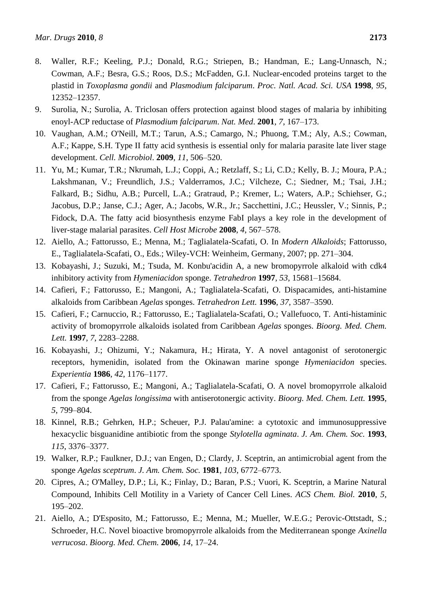- 8. Waller, R.F.; Keeling, P.J.; Donald, R.G.; Striepen, B.; Handman, E.; Lang-Unnasch, N.; Cowman, A.F.; Besra, G.S.; Roos, D.S.; McFadden, G.I. Nuclear-encoded proteins target to the plastid in *Toxoplasma gondii* and *Plasmodium falciparum*. *Proc. Natl. Acad. Sci. USA* **1998**, *95*, 12352–12357.
- 9. Surolia, N.; Surolia, A. Triclosan offers protection against blood stages of malaria by inhibiting enoyl-ACP reductase of *Plasmodium falciparum*. *Nat. Med*. **2001**, *7*, 167–173.
- 10. Vaughan, A.M.; O'Neill, M.T.; Tarun, A.S.; Camargo, N.; Phuong, T.M.; Aly, A.S.; Cowman, A.F.; Kappe, S.H. Type II fatty acid synthesis is essential only for malaria parasite late liver stage development. *Cell. Microbiol*. **2009**, *11*, 506–520.
- 11. Yu, M.; Kumar, T.R.; Nkrumah, L.J.; Coppi, A.; Retzlaff, S.; Li, C.D.; Kelly, B. J.; Moura, P.A.; Lakshmanan, V.; Freundlich, J.S.; Valderramos, J.C.; Vilcheze, C.; Siedner, M.; Tsai, J.H.; Falkard, B.; Sidhu, A.B.; Purcell, L.A.; Gratraud, P.; Kremer, L.; Waters, A.P.; Schiehser, G.; Jacobus, D.P.; Janse, C.J.; Ager, A.; Jacobs, W.R., Jr.; Sacchettini, J.C.; Heussler, V.; Sinnis, P.; Fidock, D.A. The fatty acid biosynthesis enzyme FabI plays a key role in the development of liver-stage malarial parasites. *Cell Host Microbe* **2008**, *4*, 567–578.
- 12. Aiello, A.; Fattorusso, E.; Menna, M.; Taglialatela-Scafati, O. In *Modern Alkaloids*; Fattorusso, E., Taglialatela-Scafati, O., Eds.; Wiley-VCH: Weinheim, Germany, 2007; pp. 271–304.
- 13. Kobayashi, J.; Suzuki, M.; Tsuda, M. Konbu'acidin A, a new bromopyrrole alkaloid with cdk4 inhibitory activity from *Hymeniacidon* sponge. *Tetrahedron* **1997**, *53*, 15681–15684.
- 14. Cafieri, F.; Fattorusso, E.; Mangoni, A.; Taglialatela-Scafati, O. Dispacamides, anti-histamine alkaloids from Caribbean *Agelas* sponges. *Tetrahedron Lett.* **1996**, *37*, 3587–3590.
- 15. Cafieri, F.; Carnuccio, R.; Fattorusso, E.; Taglialatela-Scafati, O.; Vallefuoco, T. Anti-histaminic activity of bromopyrrole alkaloids isolated from Caribbean *Agelas* sponges. *Bioorg. Med. Chem. Lett.* **1997**, *7*, 2283–2288.
- 16. Kobayashi, J.; Ohizumi, Y.; Nakamura, H.; Hirata, Y. A novel antagonist of serotonergic receptors, hymenidin, isolated from the Okinawan marine sponge *Hymeniacidon* species. *Experientia* **1986**, *42*, 1176–1177.
- 17. Cafieri, F.; Fattorusso, E.; Mangoni, A.; Taglialatela-Scafati, O. A novel bromopyrrole alkaloid from the sponge *Agelas longissima* with antiserotonergic activity. *Bioorg. Med. Chem. Lett.* **1995**, *5*, 799–804.
- 18. Kinnel, R.B.; Gehrken, H.P.; Scheuer, P.J. Palau'amine: a cytotoxic and immunosuppressive hexacyclic bisguanidine antibiotic from the sponge *Stylotella agminata*. *J. Am. Chem. Soc.* **1993**, *115*, 3376–3377.
- 19. Walker, R.P.; Faulkner, D.J.; van Engen, D.; Clardy, J. Sceptrin, an antimicrobial agent from the sponge *Agelas sceptrum*. *J. Am. Chem. Soc.* **1981**, *103*, 6772–6773.
- 20. Cipres, A.; O'Malley, D.P.; Li, K.; Finlay, D.; Baran, P.S.; Vuori, K. Sceptrin, a Marine Natural Compound, Inhibits Cell Motility in a Variety of Cancer Cell Lines. *ACS Chem. Biol.* **2010**, *5*, 195–202.
- 21. Aiello, A.; D'Esposito, M.; Fattorusso, E.; Menna, M.; Mueller, W.E.G.; Perovic-Ottstadt, S.; Schroeder, H.C. Novel bioactive bromopyrrole alkaloids from the Mediterranean sponge *Axinella verrucosa*. *Bioorg. Med. Chem.* **2006**, *14*, 17–24.